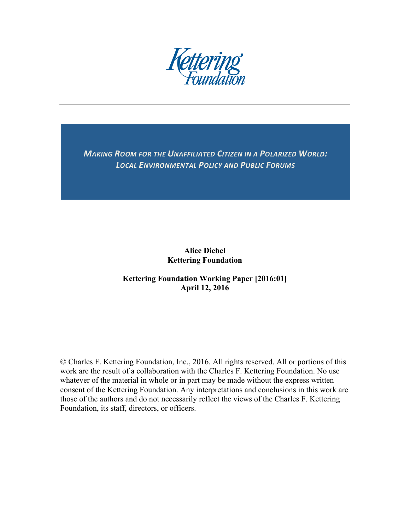

**MAKING ROOM FOR THE UNAFFILIATED CITIZEN IN A POLARIZED WORLD: LOCAL ENVIRONMENTAL POLICY AND PUBLIC FORUMS** 

> **Alice Diebel Kettering Foundation**

# **Kettering Foundation Working Paper [2016:01] April 12, 2016**

© Charles F. Kettering Foundation, Inc., 2016. All rights reserved. All or portions of this work are the result of a collaboration with the Charles F. Kettering Foundation. No use whatever of the material in whole or in part may be made without the express written consent of the Kettering Foundation. Any interpretations and conclusions in this work are those of the authors and do not necessarily reflect the views of the Charles F. Kettering Foundation, its staff, directors, or officers.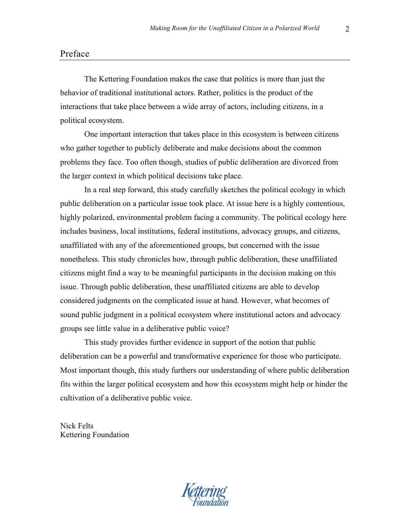## Preface

The Kettering Foundation makes the case that politics is more than just the behavior of traditional institutional actors. Rather, politics is the product of the interactions that take place between a wide array of actors, including citizens, in a political ecosystem.

One important interaction that takes place in this ecosystem is between citizens who gather together to publicly deliberate and make decisions about the common problems they face. Too often though, studies of public deliberation are divorced from the larger context in which political decisions take place.

In a real step forward, this study carefully sketches the political ecology in which public deliberation on a particular issue took place. At issue here is a highly contentious, highly polarized, environmental problem facing a community. The political ecology here includes business, local institutions, federal institutions, advocacy groups, and citizens, unaffiliated with any of the aforementioned groups, but concerned with the issue nonetheless. This study chronicles how, through public deliberation, these unaffiliated citizens might find a way to be meaningful participants in the decision making on this issue. Through public deliberation, these unaffiliated citizens are able to develop considered judgments on the complicated issue at hand. However, what becomes of sound public judgment in a political ecosystem where institutional actors and advocacy groups see little value in a deliberative public voice?

This study provides further evidence in support of the notion that public deliberation can be a powerful and transformative experience for those who participate. Most important though, this study furthers our understanding of where public deliberation fits within the larger political ecosystem and how this ecosystem might help or hinder the cultivation of a deliberative public voice.

Nick Felts Kettering Foundation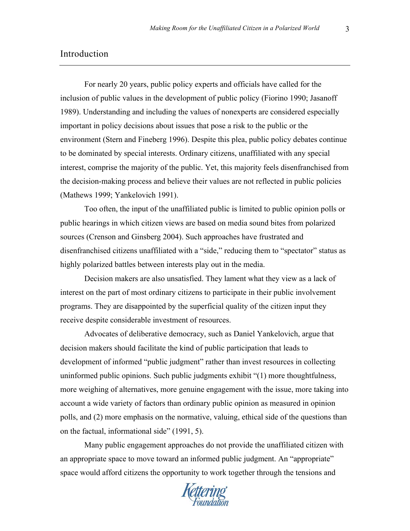## Introduction

For nearly 20 years, public policy experts and officials have called for the inclusion of public values in the development of public policy (Fiorino 1990; Jasanoff 1989). Understanding and including the values of nonexperts are considered especially important in policy decisions about issues that pose a risk to the public or the environment (Stern and Fineberg 1996). Despite this plea, public policy debates continue to be dominated by special interests. Ordinary citizens, unaffiliated with any special interest, comprise the majority of the public. Yet, this majority feels disenfranchised from the decision-making process and believe their values are not reflected in public policies (Mathews 1999; Yankelovich 1991).

Too often, the input of the unaffiliated public is limited to public opinion polls or public hearings in which citizen views are based on media sound bites from polarized sources (Crenson and Ginsberg 2004). Such approaches have frustrated and disenfranchised citizens unaffiliated with a "side," reducing them to "spectator" status as highly polarized battles between interests play out in the media.

Decision makers are also unsatisfied. They lament what they view as a lack of interest on the part of most ordinary citizens to participate in their public involvement programs. They are disappointed by the superficial quality of the citizen input they receive despite considerable investment of resources.

Advocates of deliberative democracy, such as Daniel Yankelovich, argue that decision makers should facilitate the kind of public participation that leads to development of informed "public judgment" rather than invest resources in collecting uninformed public opinions. Such public judgments exhibit "(1) more thoughtfulness, more weighing of alternatives, more genuine engagement with the issue, more taking into account a wide variety of factors than ordinary public opinion as measured in opinion polls, and (2) more emphasis on the normative, valuing, ethical side of the questions than on the factual, informational side" (1991, 5).

Many public engagement approaches do not provide the unaffiliated citizen with an appropriate space to move toward an informed public judgment. An "appropriate" space would afford citizens the opportunity to work together through the tensions and

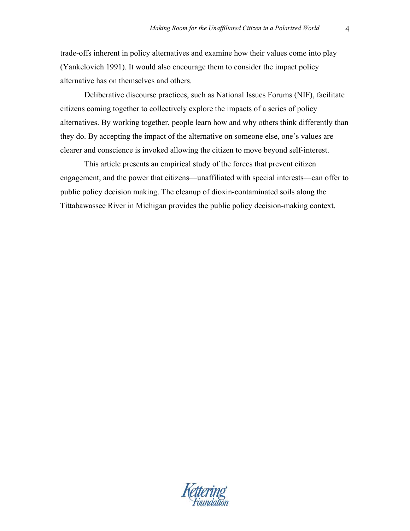trade-offs inherent in policy alternatives and examine how their values come into play (Yankelovich 1991). It would also encourage them to consider the impact policy alternative has on themselves and others.

Deliberative discourse practices, such as National Issues Forums (NIF), facilitate citizens coming together to collectively explore the impacts of a series of policy alternatives. By working together, people learn how and why others think differently than they do. By accepting the impact of the alternative on someone else, one's values are clearer and conscience is invoked allowing the citizen to move beyond self-interest.

This article presents an empirical study of the forces that prevent citizen engagement, and the power that citizens—unaffiliated with special interests—can offer to public policy decision making. The cleanup of dioxin-contaminated soils along the Tittabawassee River in Michigan provides the public policy decision-making context.

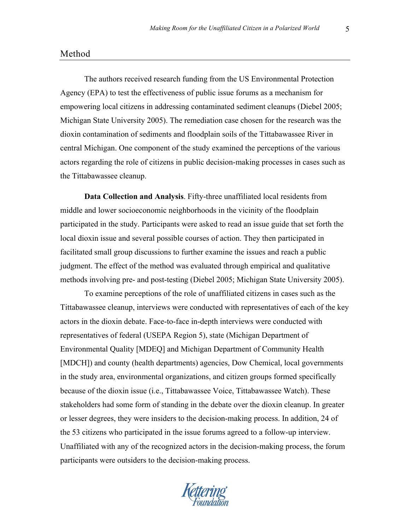### Method

The authors received research funding from the US Environmental Protection Agency (EPA) to test the effectiveness of public issue forums as a mechanism for empowering local citizens in addressing contaminated sediment cleanups (Diebel 2005; Michigan State University 2005). The remediation case chosen for the research was the dioxin contamination of sediments and floodplain soils of the Tittabawassee River in central Michigan. One component of the study examined the perceptions of the various actors regarding the role of citizens in public decision-making processes in cases such as the Tittabawassee cleanup.

**Data Collection and Analysis**. Fifty-three unaffiliated local residents from middle and lower socioeconomic neighborhoods in the vicinity of the floodplain participated in the study. Participants were asked to read an issue guide that set forth the local dioxin issue and several possible courses of action. They then participated in facilitated small group discussions to further examine the issues and reach a public judgment. The effect of the method was evaluated through empirical and qualitative methods involving pre- and post-testing (Diebel 2005; Michigan State University 2005).

To examine perceptions of the role of unaffiliated citizens in cases such as the Tittabawassee cleanup, interviews were conducted with representatives of each of the key actors in the dioxin debate. Face-to-face in-depth interviews were conducted with representatives of federal (USEPA Region 5), state (Michigan Department of Environmental Quality [MDEQ] and Michigan Department of Community Health [MDCH]) and county (health departments) agencies, Dow Chemical, local governments in the study area, environmental organizations, and citizen groups formed specifically because of the dioxin issue (i.e., Tittabawassee Voice, Tittabawassee Watch). These stakeholders had some form of standing in the debate over the dioxin cleanup. In greater or lesser degrees, they were insiders to the decision-making process. In addition, 24 of the 53 citizens who participated in the issue forums agreed to a follow-up interview. Unaffiliated with any of the recognized actors in the decision-making process, the forum participants were outsiders to the decision-making process.

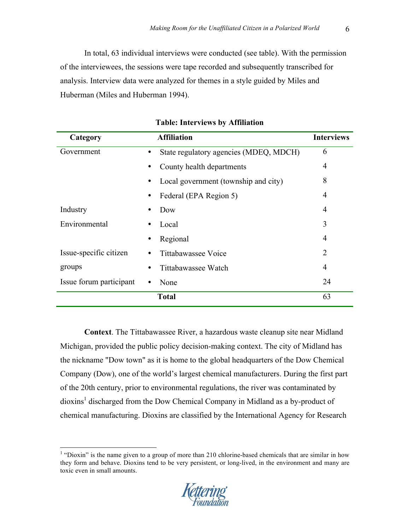In total, 63 individual interviews were conducted (see table). With the permission of the interviewees, the sessions were tape recorded and subsequently transcribed for analysis. Interview data were analyzed for themes in a style guided by Miles and Huberman (Miles and Huberman 1994).

| Category                |   | <b>Affiliation</b>                     | <b>Interviews</b> |
|-------------------------|---|----------------------------------------|-------------------|
| Government              |   | State regulatory agencies (MDEQ, MDCH) | 6                 |
|                         |   | County health departments              | 4                 |
|                         |   | Local government (township and city)   | 8                 |
|                         |   | Federal (EPA Region 5)                 | 4                 |
| Industry                |   | Dow                                    | 4                 |
| Environmental           |   | Local                                  | 3                 |
|                         |   | Regional                               | 4                 |
| Issue-specific citizen  | ٠ | Tittabawassee Voice                    | 2                 |
| groups                  |   | Tittabawassee Watch                    | 4                 |
| Issue forum participant |   | None                                   | 24                |
|                         |   | <b>Total</b>                           | 63                |

| <b>Table: Interviews by Affiliation</b> |  |  |
|-----------------------------------------|--|--|
|-----------------------------------------|--|--|

**Context**. The Tittabawassee River, a hazardous waste cleanup site near Midland Michigan, provided the public policy decision-making context. The city of Midland has the nickname "Dow town" as it is home to the global headquarters of the Dow Chemical Company (Dow), one of the world's largest chemical manufacturers. During the first part of the 20th century, prior to environmental regulations, the river was contaminated by dioxins<sup>1</sup> discharged from the Dow Chemical Company in Midland as a by-product of chemical manufacturing. Dioxins are classified by the International Agency for Research

 $1$  "Dioxin" is the name given to a group of more than 210 chlorine-based chemicals that are similar in how they form and behave. Dioxins tend to be very persistent, or long-lived, in the environment and many are toxic even in small amounts.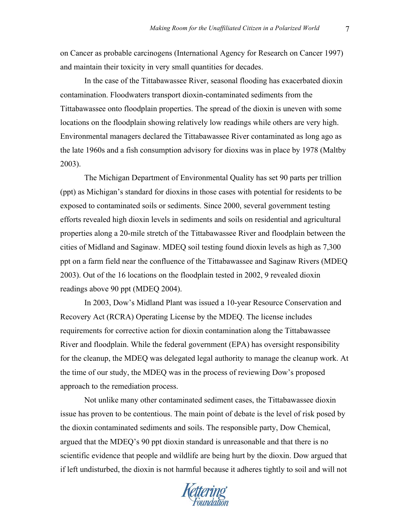on Cancer as probable carcinogens (International Agency for Research on Cancer 1997) and maintain their toxicity in very small quantities for decades.

In the case of the Tittabawassee River, seasonal flooding has exacerbated dioxin contamination. Floodwaters transport dioxin-contaminated sediments from the Tittabawassee onto floodplain properties. The spread of the dioxin is uneven with some locations on the floodplain showing relatively low readings while others are very high. Environmental managers declared the Tittabawassee River contaminated as long ago as the late 1960s and a fish consumption advisory for dioxins was in place by 1978 (Maltby 2003).

The Michigan Department of Environmental Quality has set 90 parts per trillion (ppt) as Michigan's standard for dioxins in those cases with potential for residents to be exposed to contaminated soils or sediments. Since 2000, several government testing efforts revealed high dioxin levels in sediments and soils on residential and agricultural properties along a 20-mile stretch of the Tittabawassee River and floodplain between the cities of Midland and Saginaw. MDEQ soil testing found dioxin levels as high as 7,300 ppt on a farm field near the confluence of the Tittabawassee and Saginaw Rivers (MDEQ 2003). Out of the 16 locations on the floodplain tested in 2002, 9 revealed dioxin readings above 90 ppt (MDEQ 2004).

In 2003, Dow's Midland Plant was issued a 10-year Resource Conservation and Recovery Act (RCRA) Operating License by the MDEQ. The license includes requirements for corrective action for dioxin contamination along the Tittabawassee River and floodplain. While the federal government (EPA) has oversight responsibility for the cleanup, the MDEQ was delegated legal authority to manage the cleanup work. At the time of our study, the MDEQ was in the process of reviewing Dow's proposed approach to the remediation process.

Not unlike many other contaminated sediment cases, the Tittabawassee dioxin issue has proven to be contentious. The main point of debate is the level of risk posed by the dioxin contaminated sediments and soils. The responsible party, Dow Chemical, argued that the MDEQ's 90 ppt dioxin standard is unreasonable and that there is no scientific evidence that people and wildlife are being hurt by the dioxin. Dow argued that if left undisturbed, the dioxin is not harmful because it adheres tightly to soil and will not

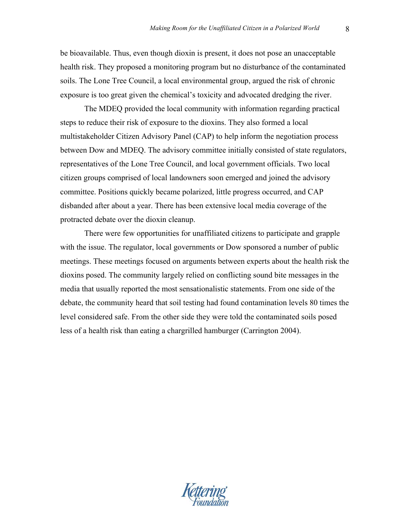be bioavailable. Thus, even though dioxin is present, it does not pose an unacceptable health risk. They proposed a monitoring program but no disturbance of the contaminated soils. The Lone Tree Council, a local environmental group, argued the risk of chronic exposure is too great given the chemical's toxicity and advocated dredging the river.

The MDEQ provided the local community with information regarding practical steps to reduce their risk of exposure to the dioxins. They also formed a local multistakeholder Citizen Advisory Panel (CAP) to help inform the negotiation process between Dow and MDEQ. The advisory committee initially consisted of state regulators, representatives of the Lone Tree Council, and local government officials. Two local citizen groups comprised of local landowners soon emerged and joined the advisory committee. Positions quickly became polarized, little progress occurred, and CAP disbanded after about a year. There has been extensive local media coverage of the protracted debate over the dioxin cleanup.

There were few opportunities for unaffiliated citizens to participate and grapple with the issue. The regulator, local governments or Dow sponsored a number of public meetings. These meetings focused on arguments between experts about the health risk the dioxins posed. The community largely relied on conflicting sound bite messages in the media that usually reported the most sensationalistic statements. From one side of the debate, the community heard that soil testing had found contamination levels 80 times the level considered safe. From the other side they were told the contaminated soils posed less of a health risk than eating a chargrilled hamburger (Carrington 2004).

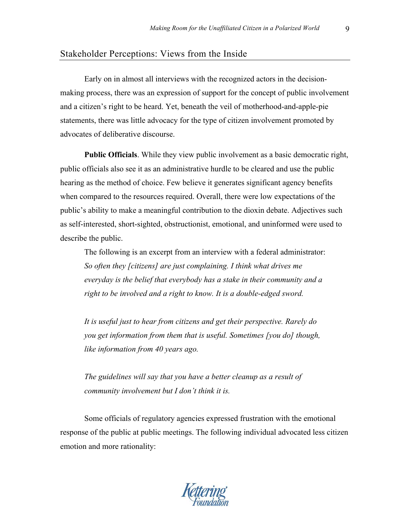## Stakeholder Perceptions: Views from the Inside

Early on in almost all interviews with the recognized actors in the decisionmaking process, there was an expression of support for the concept of public involvement and a citizen's right to be heard. Yet, beneath the veil of motherhood-and-apple-pie statements, there was little advocacy for the type of citizen involvement promoted by advocates of deliberative discourse.

**Public Officials**. While they view public involvement as a basic democratic right, public officials also see it as an administrative hurdle to be cleared and use the public hearing as the method of choice. Few believe it generates significant agency benefits when compared to the resources required. Overall, there were low expectations of the public's ability to make a meaningful contribution to the dioxin debate. Adjectives such as self-interested, short-sighted, obstructionist, emotional, and uninformed were used to describe the public.

The following is an excerpt from an interview with a federal administrator: *So often they [citizens] are just complaining. I think what drives me everyday is the belief that everybody has a stake in their community and a right to be involved and a right to know. It is a double-edged sword.*

*It is useful just to hear from citizens and get their perspective. Rarely do you get information from them that is useful. Sometimes [you do] though, like information from 40 years ago.*

*The guidelines will say that you have a better cleanup as a result of community involvement but I don't think it is.*

Some officials of regulatory agencies expressed frustration with the emotional response of the public at public meetings. The following individual advocated less citizen emotion and more rationality: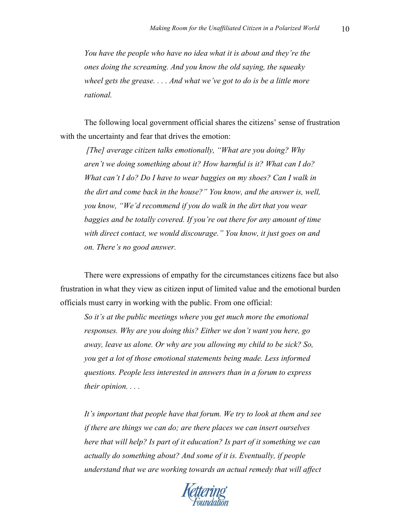*You have the people who have no idea what it is about and they're the ones doing the screaming. And you know the old saying, the squeaky wheel gets the grease. . . . And what we've got to do is be a little more rational.*

The following local government official shares the citizens' sense of frustration with the uncertainty and fear that drives the emotion:

*[The] average citizen talks emotionally, "What are you doing? Why aren't we doing something about it? How harmful is it? What can I do? What can't I do? Do I have to wear baggies on my shoes? Can I walk in the dirt and come back in the house?" You know, and the answer is, well, you know, "We'd recommend if you do walk in the dirt that you wear*  baggies and be totally covered. If you're out there for any amount of time *with direct contact, we would discourage." You know, it just goes on and on. There's no good answer.*

There were expressions of empathy for the circumstances citizens face but also frustration in what they view as citizen input of limited value and the emotional burden officials must carry in working with the public. From one official:

*So it's at the public meetings where you get much more the emotional responses. Why are you doing this? Either we don't want you here, go away, leave us alone. Or why are you allowing my child to be sick? So, you get a lot of those emotional statements being made. Less informed questions. People less interested in answers than in a forum to express their opinion. . . .*

*It's important that people have that forum. We try to look at them and see if there are things we can do; are there places we can insert ourselves here that will help? Is part of it education? Is part of it something we can actually do something about? And some of it is. Eventually, if people understand that we are working towards an actual remedy that will affect* 

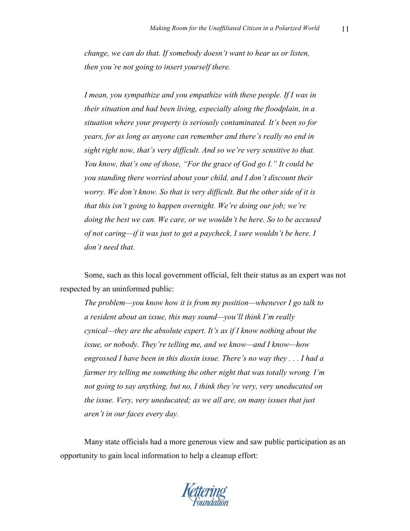*change, we can do that. If somebody doesn't want to hear us or listen, then you're not going to insert yourself there.* 

*I mean, you sympathize and you empathize with these people. If I was in their situation and had been living, especially along the floodplain, in a situation where your property is seriously contaminated. It's been so for years, for as long as anyone can remember and there's really no end in sight right now, that's very difficult. And so we're very sensitive to that. You know, that's one of those, "For the grace of God go I." It could be you standing there worried about your child, and I don't discount their worry. We don't know. So that is very difficult. But the other side of it is that this isn't going to happen overnight. We're doing our job; we're doing the best we can. We care, or we wouldn't be here. So to be accused of not caring—if it was just to get a paycheck, I sure wouldn't be here. I don't need that.*

Some, such as this local government official, felt their status as an expert was not respected by an uninformed public:

*The problem—you know how it is from my position—whenever I go talk to a resident about an issue, this may sound—you'll think I'm really cynical—they are the absolute expert. It's as if I know nothing about the issue, or nobody. They're telling me, and we know—and I know—how engrossed I have been in this dioxin issue. There's no way they . . . I had a farmer try telling me something the other night that was totally wrong. I'm not going to say anything, but no, I think they're very, very uneducated on the issue. Very, very uneducated; as we all are, on many issues that just aren't in our faces every day.*

Many state officials had a more generous view and saw public participation as an opportunity to gain local information to help a cleanup effort: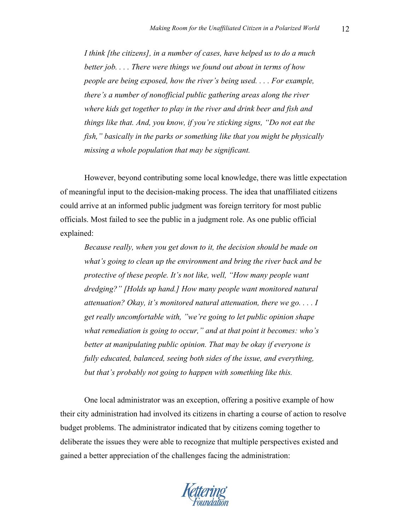*I think [the citizens], in a number of cases, have helped us to do a much better job. . . . There were things we found out about in terms of how people are being exposed, how the river's being used. . . . For example, there's a number of nonofficial public gathering areas along the river where kids get together to play in the river and drink beer and fish and things like that. And, you know, if you're sticking signs, "Do not eat the fish," basically in the parks or something like that you might be physically missing a whole population that may be significant.*

However, beyond contributing some local knowledge, there was little expectation of meaningful input to the decision-making process. The idea that unaffiliated citizens could arrive at an informed public judgment was foreign territory for most public officials. Most failed to see the public in a judgment role. As one public official explained:

*Because really, when you get down to it, the decision should be made on what's going to clean up the environment and bring the river back and be protective of these people. It's not like, well, "How many people want dredging?" [Holds up hand.] How many people want monitored natural attenuation? Okay, it's monitored natural attenuation, there we go. . . . I get really uncomfortable with, "we're going to let public opinion shape what remediation is going to occur," and at that point it becomes: who's better at manipulating public opinion. That may be okay if everyone is fully educated, balanced, seeing both sides of the issue, and everything, but that's probably not going to happen with something like this.*

One local administrator was an exception, offering a positive example of how their city administration had involved its citizens in charting a course of action to resolve budget problems. The administrator indicated that by citizens coming together to deliberate the issues they were able to recognize that multiple perspectives existed and gained a better appreciation of the challenges facing the administration: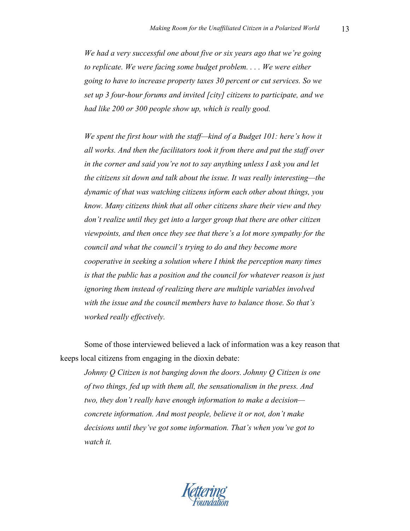*We had a very successful one about five or six years ago that we're going to replicate. We were facing some budget problem. . . . We were either going to have to increase property taxes 30 percent or cut services. So we set up 3 four-hour forums and invited [city] citizens to participate, and we had like 200 or 300 people show up, which is really good.* 

*We spent the first hour with the staff—kind of a Budget 101: here's how it all works. And then the facilitators took it from there and put the staff over in the corner and said you're not to say anything unless I ask you and let the citizens sit down and talk about the issue. It was really interesting—the dynamic of that was watching citizens inform each other about things, you know. Many citizens think that all other citizens share their view and they don't realize until they get into a larger group that there are other citizen viewpoints, and then once they see that there's a lot more sympathy for the council and what the council's trying to do and they become more cooperative in seeking a solution where I think the perception many times is that the public has a position and the council for whatever reason is just ignoring them instead of realizing there are multiple variables involved with the issue and the council members have to balance those. So that's worked really effectively.* 

Some of those interviewed believed a lack of information was a key reason that keeps local citizens from engaging in the dioxin debate:

*Johnny Q Citizen is not banging down the doors. Johnny Q Citizen is one of two things, fed up with them all, the sensationalism in the press. And two, they don't really have enough information to make a decision concrete information. And most people, believe it or not, don't make decisions until they've got some information. That's when you've got to watch it.* 

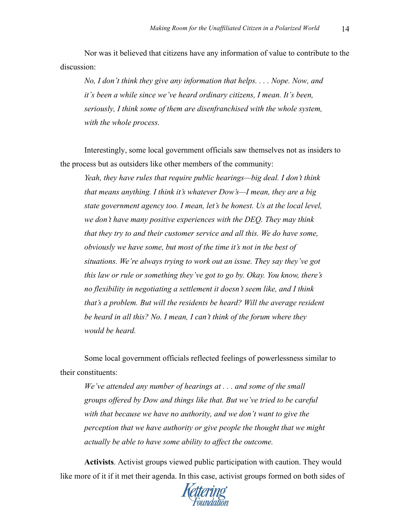Nor was it believed that citizens have any information of value to contribute to the discussion:

*No, I don't think they give any information that helps. . . . Nope. Now, and it's been a while since we've heard ordinary citizens, I mean. It's been, seriously, I think some of them are disenfranchised with the whole system, with the whole process.*

Interestingly, some local government officials saw themselves not as insiders to the process but as outsiders like other members of the community:

*Yeah, they have rules that require public hearings—big deal. I don't think that means anything. I think it's whatever Dow's—I mean, they are a big state government agency too. I mean, let's be honest. Us at the local level, we don't have many positive experiences with the DEQ. They may think that they try to and their customer service and all this. We do have some, obviously we have some, but most of the time it's not in the best of situations. We're always trying to work out an issue. They say they've got this law or rule or something they've got to go by. Okay. You know, there's no flexibility in negotiating a settlement it doesn't seem like, and I think that's a problem. But will the residents be heard? Will the average resident be heard in all this? No. I mean, I can't think of the forum where they would be heard.*

Some local government officials reflected feelings of powerlessness similar to their constituents:

*We've attended any number of hearings at . . . and some of the small groups offered by Dow and things like that. But we've tried to be careful with that because we have no authority, and we don't want to give the perception that we have authority or give people the thought that we might actually be able to have some ability to affect the outcome.*

**Activists**. Activist groups viewed public participation with caution. They would like more of it if it met their agenda. In this case, activist groups formed on both sides of

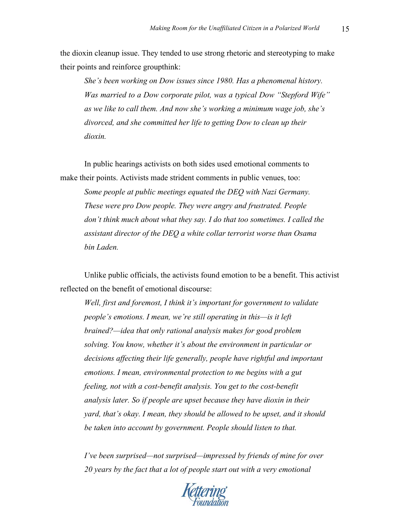the dioxin cleanup issue. They tended to use strong rhetoric and stereotyping to make their points and reinforce groupthink:

*She's been working on Dow issues since 1980. Has a phenomenal history. Was married to a Dow corporate pilot, was a typical Dow "Stepford Wife" as we like to call them. And now she's working a minimum wage job, she's divorced, and she committed her life to getting Dow to clean up their dioxin.* 

In public hearings activists on both sides used emotional comments to make their points. Activists made strident comments in public venues, too:

*Some people at public meetings equated the DEQ with Nazi Germany. These were pro Dow people. They were angry and frustrated. People don't think much about what they say. I do that too sometimes. I called the assistant director of the DEQ a white collar terrorist worse than Osama bin Laden.*

Unlike public officials, the activists found emotion to be a benefit. This activist reflected on the benefit of emotional discourse:

*Well, first and foremost, I think it's important for government to validate people's emotions. I mean, we're still operating in this—is it left brained?—idea that only rational analysis makes for good problem solving. You know, whether it's about the environment in particular or decisions affecting their life generally, people have rightful and important emotions. I mean, environmental protection to me begins with a gut feeling, not with a cost-benefit analysis. You get to the cost-benefit analysis later. So if people are upset because they have dioxin in their yard, that's okay. I mean, they should be allowed to be upset, and it should be taken into account by government. People should listen to that.*

*I've been surprised—not surprised—impressed by friends of mine for over 20 years by the fact that a lot of people start out with a very emotional* 

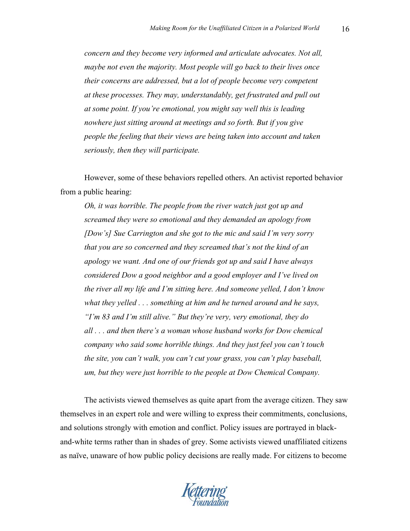*concern and they become very informed and articulate advocates. Not all, maybe not even the majority. Most people will go back to their lives once their concerns are addressed, but a lot of people become very competent at these processes. They may, understandably, get frustrated and pull out at some point. If you're emotional, you might say well this is leading nowhere just sitting around at meetings and so forth. But if you give people the feeling that their views are being taken into account and taken seriously, then they will participate.* 

However, some of these behaviors repelled others. An activist reported behavior from a public hearing:

*Oh, it was horrible. The people from the river watch just got up and screamed they were so emotional and they demanded an apology from [Dow's] Sue Carrington and she got to the mic and said I'm very sorry that you are so concerned and they screamed that's not the kind of an apology we want. And one of our friends got up and said I have always considered Dow a good neighbor and a good employer and I've lived on the river all my life and I'm sitting here. And someone yelled, I don't know what they yelled . . . something at him and he turned around and he says, "I'm 83 and I'm still alive." But they're very, very emotional, they do all . . . and then there's a woman whose husband works for Dow chemical company who said some horrible things. And they just feel you can't touch the site, you can't walk, you can't cut your grass, you can't play baseball, um, but they were just horrible to the people at Dow Chemical Company.*

The activists viewed themselves as quite apart from the average citizen. They saw themselves in an expert role and were willing to express their commitments, conclusions, and solutions strongly with emotion and conflict. Policy issues are portrayed in blackand-white terms rather than in shades of grey. Some activists viewed unaffiliated citizens as naïve, unaware of how public policy decisions are really made. For citizens to become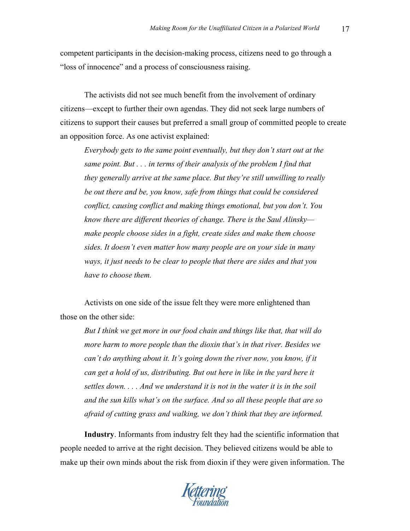competent participants in the decision-making process, citizens need to go through a "loss of innocence" and a process of consciousness raising.

The activists did not see much benefit from the involvement of ordinary citizens—except to further their own agendas. They did not seek large numbers of citizens to support their causes but preferred a small group of committed people to create an opposition force. As one activist explained:

*Everybody gets to the same point eventually, but they don't start out at the same point. But . . . in terms of their analysis of the problem I find that they generally arrive at the same place. But they're still unwilling to really be out there and be, you know, safe from things that could be considered conflict, causing conflict and making things emotional, but you don't. You know there are different theories of change. There is the Saul Alinsky make people choose sides in a fight, create sides and make them choose sides. It doesn't even matter how many people are on your side in many ways, it just needs to be clear to people that there are sides and that you have to choose them.*

Activists on one side of the issue felt they were more enlightened than those on the other side:

*But I think we get more in our food chain and things like that, that will do more harm to more people than the dioxin that's in that river. Besides we can't do anything about it. It's going down the river now, you know, if it can get a hold of us, distributing. But out here in like in the yard here it settles down. . . . And we understand it is not in the water it is in the soil and the sun kills what's on the surface. And so all these people that are so afraid of cutting grass and walking, we don't think that they are informed.*

**Industry**. Informants from industry felt they had the scientific information that people needed to arrive at the right decision. They believed citizens would be able to make up their own minds about the risk from dioxin if they were given information. The

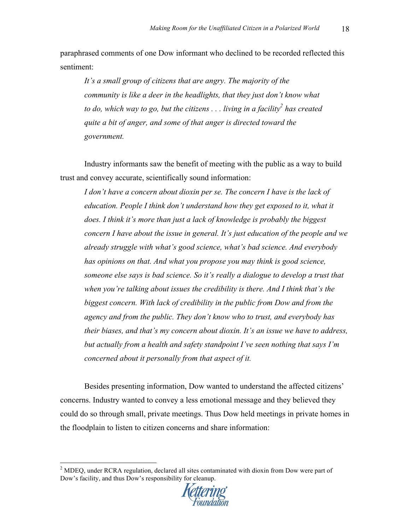paraphrased comments of one Dow informant who declined to be recorded reflected this sentiment:

*It's a small group of citizens that are angry. The majority of the community is like a deer in the headlights, that they just don't know what to do, which way to go, but the citizens ... living in a facility*<sup>2</sup> *has created quite a bit of anger, and some of that anger is directed toward the government.* 

Industry informants saw the benefit of meeting with the public as a way to build trust and convey accurate, scientifically sound information:

*I don't have a concern about dioxin per se. The concern I have is the lack of education. People I think don't understand how they get exposed to it, what it does. I think it's more than just a lack of knowledge is probably the biggest concern I have about the issue in general. It's just education of the people and we already struggle with what's good science, what's bad science. And everybody has opinions on that. And what you propose you may think is good science, someone else says is bad science. So it's really a dialogue to develop a trust that when you're talking about issues the credibility is there. And I think that's the biggest concern. With lack of credibility in the public from Dow and from the agency and from the public. They don't know who to trust, and everybody has their biases, and that's my concern about dioxin. It's an issue we have to address, but actually from a health and safety standpoint I've seen nothing that says I'm concerned about it personally from that aspect of it.*

Besides presenting information, Dow wanted to understand the affected citizens' concerns. Industry wanted to convey a less emotional message and they believed they could do so through small, private meetings. Thus Dow held meetings in private homes in the floodplain to listen to citizen concerns and share information:

 $2^{\circ}$  MDEQ, under RCRA regulation, declared all sites contaminated with dioxin from Dow were part of Dow's facility, and thus Dow's responsibility for cleanup.

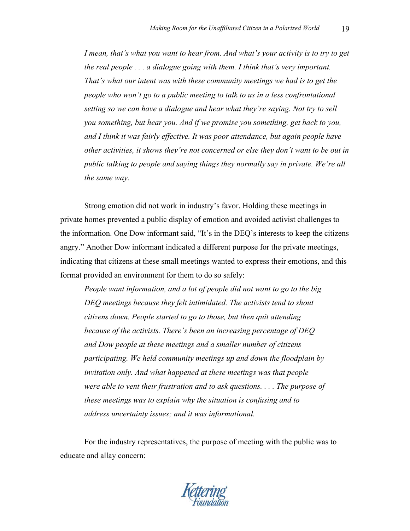*I mean, that's what you want to hear from. And what's your activity is to try to get the real people . . . a dialogue going with them. I think that's very important. That's what our intent was with these community meetings we had is to get the people who won't go to a public meeting to talk to us in a less confrontational setting so we can have a dialogue and hear what they're saying. Not try to sell you something, but hear you. And if we promise you something, get back to you, and I think it was fairly effective. It was poor attendance, but again people have other activities, it shows they're not concerned or else they don't want to be out in public talking to people and saying things they normally say in private. We're all the same way.*

Strong emotion did not work in industry's favor. Holding these meetings in private homes prevented a public display of emotion and avoided activist challenges to the information. One Dow informant said, "It's in the DEQ's interests to keep the citizens angry." Another Dow informant indicated a different purpose for the private meetings, indicating that citizens at these small meetings wanted to express their emotions, and this format provided an environment for them to do so safely:

*People want information, and a lot of people did not want to go to the big DEQ meetings because they felt intimidated. The activists tend to shout citizens down. People started to go to those, but then quit attending because of the activists. There's been an increasing percentage of DEQ and Dow people at these meetings and a smaller number of citizens participating. We held community meetings up and down the floodplain by invitation only. And what happened at these meetings was that people were able to vent their frustration and to ask questions. . . . The purpose of these meetings was to explain why the situation is confusing and to address uncertainty issues; and it was informational.*

For the industry representatives, the purpose of meeting with the public was to educate and allay concern: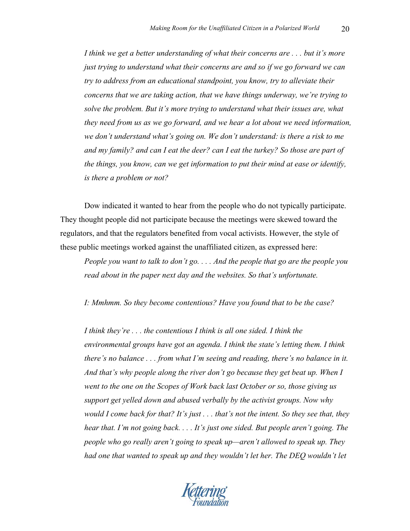*I think we get a better understanding of what their concerns are . . . but it's more just trying to understand what their concerns are and so if we go forward we can try to address from an educational standpoint, you know, try to alleviate their concerns that we are taking action, that we have things underway, we're trying to solve the problem. But it's more trying to understand what their issues are, what they need from us as we go forward, and we hear a lot about we need information, we don't understand what's going on. We don't understand: is there a risk to me and my family? and can I eat the deer? can I eat the turkey? So those are part of the things, you know, can we get information to put their mind at ease or identify, is there a problem or not?* 

Dow indicated it wanted to hear from the people who do not typically participate. They thought people did not participate because the meetings were skewed toward the regulators, and that the regulators benefited from vocal activists. However, the style of these public meetings worked against the unaffiliated citizen, as expressed here:

*People you want to talk to don't go. . . . And the people that go are the people you read about in the paper next day and the websites. So that's unfortunate.* 

*I: Mmhmm. So they become contentious? Have you found that to be the case?*

*I think they're . . . the contentious I think is all one sided. I think the environmental groups have got an agenda. I think the state's letting them. I think there's no balance . . . from what I'm seeing and reading, there's no balance in it. And that's why people along the river don't go because they get beat up. When I went to the one on the Scopes of Work back last October or so, those giving us support get yelled down and abused verbally by the activist groups. Now why would I come back for that? It's just . . . that's not the intent. So they see that, they hear that. I'm not going back. . . . It's just one sided. But people aren't going. The people who go really aren't going to speak up—aren't allowed to speak up. They had one that wanted to speak up and they wouldn't let her. The DEQ wouldn't let* 

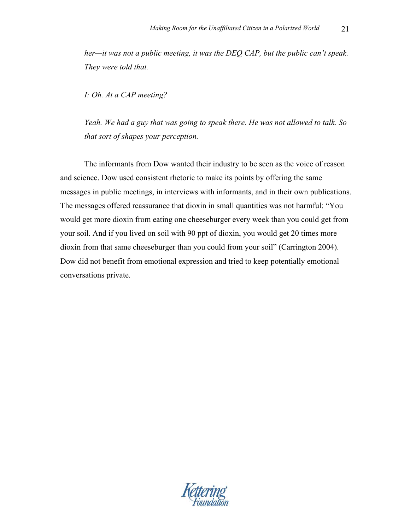*her—it was not a public meeting, it was the DEQ CAP, but the public can't speak. They were told that.* 

*I: Oh. At a CAP meeting?*

*Yeah. We had a guy that was going to speak there. He was not allowed to talk. So that sort of shapes your perception.* 

The informants from Dow wanted their industry to be seen as the voice of reason and science. Dow used consistent rhetoric to make its points by offering the same messages in public meetings, in interviews with informants, and in their own publications. The messages offered reassurance that dioxin in small quantities was not harmful: "You would get more dioxin from eating one cheeseburger every week than you could get from your soil. And if you lived on soil with 90 ppt of dioxin, you would get 20 times more dioxin from that same cheeseburger than you could from your soil" (Carrington 2004). Dow did not benefit from emotional expression and tried to keep potentially emotional conversations private.

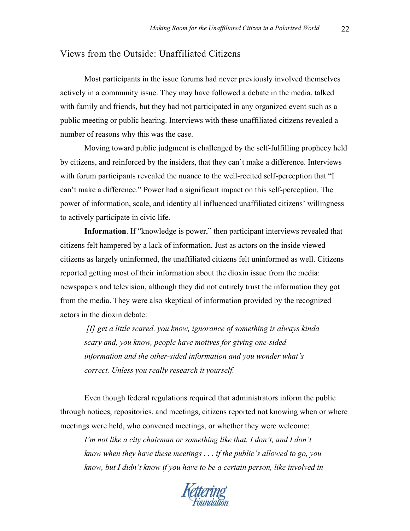# Views from the Outside: Unaffiliated Citizens

Most participants in the issue forums had never previously involved themselves actively in a community issue. They may have followed a debate in the media, talked with family and friends, but they had not participated in any organized event such as a public meeting or public hearing. Interviews with these unaffiliated citizens revealed a number of reasons why this was the case.

Moving toward public judgment is challenged by the self-fulfilling prophecy held by citizens, and reinforced by the insiders, that they can't make a difference. Interviews with forum participants revealed the nuance to the well-recited self-perception that "I can't make a difference." Power had a significant impact on this self-perception. The power of information, scale, and identity all influenced unaffiliated citizens' willingness to actively participate in civic life.

**Information**. If "knowledge is power," then participant interviews revealed that citizens felt hampered by a lack of information. Just as actors on the inside viewed citizens as largely uninformed, the unaffiliated citizens felt uninformed as well. Citizens reported getting most of their information about the dioxin issue from the media: newspapers and television, although they did not entirely trust the information they got from the media. They were also skeptical of information provided by the recognized actors in the dioxin debate:

*[I] get a little scared, you know, ignorance of something is always kinda scary and, you know, people have motives for giving one-sided information and the other-sided information and you wonder what's correct. Unless you really research it yourself.*

Even though federal regulations required that administrators inform the public through notices, repositories, and meetings, citizens reported not knowing when or where meetings were held, who convened meetings, or whether they were welcome:

*I'm not like a city chairman or something like that. I don't, and I don't know when they have these meetings . . . if the public's allowed to go, you know, but I didn't know if you have to be a certain person, like involved in* 

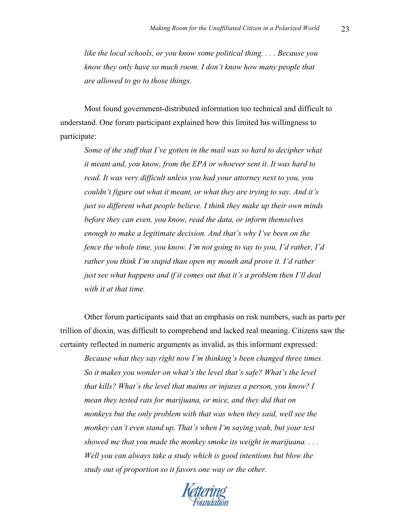*like the local schools, or you know some political thing. . . . Because you know they only have so much room. I don't know how many people that are allowed to go to those things.*

Most found government-distributed information too technical and difficult to understand. One forum participant explained how this limited his willingness to participate:

*Some of the stuff that I've gotten in the mail was so hard to decipher what it meant and, you know, from the EPA or whoever sent it. It was hard to read. It was very difficult unless you had your attorney next to you, you couldn't figure out what it meant, or what they are trying to say. And it's just so different what people believe. I think they make up their own minds before they can even, you know, read the data, or inform themselves enough to make a legitimate decision. And that's why I've been on the fence the whole time, you know. I'm not going to say to you, I'd rather, I'd rather you think I'm stupid than open my mouth and prove it. I'd rather just see what happens and if it comes out that it's a problem then I'll deal with it at that time.*

Other forum participants said that an emphasis on risk numbers, such as parts per trillion of dioxin, was difficult to comprehend and lacked real meaning. Citizens saw the certainty reflected in numeric arguments as invalid, as this informant expressed:

*Because what they say right now I'm thinking's been changed three times. So it makes you wonder on what's the level that's safe? What's the level that kills? What's the level that maims or injures a person, you know? I mean they tested rats for marijuana, or mice, and they did that on monkeys but the only problem with that was when they said, well see the monkey can't even stand up. That's when I'm saying yeah, but your test showed me that you made the monkey smoke its weight in marijuana. . . . Well you can always take a study which is good intentions but blow the study out of proportion so it favors one way or the other.*

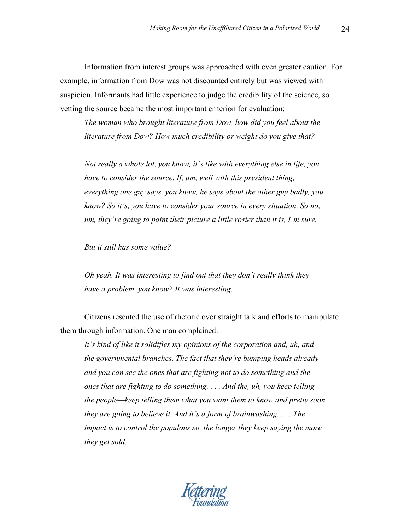Information from interest groups was approached with even greater caution. For example, information from Dow was not discounted entirely but was viewed with suspicion. Informants had little experience to judge the credibility of the science, so vetting the source became the most important criterion for evaluation:

*The woman who brought literature from Dow, how did you feel about the literature from Dow? How much credibility or weight do you give that?*

*Not really a whole lot, you know, it's like with everything else in life, you have to consider the source. If, um, well with this president thing, everything one guy says, you know, he says about the other guy badly, you know? So it's, you have to consider your source in every situation. So no, um, they're going to paint their picture a little rosier than it is, I'm sure.*

*But it still has some value?*

*Oh yeah. It was interesting to find out that they don't really think they have a problem, you know? It was interesting.*

Citizens resented the use of rhetoric over straight talk and efforts to manipulate them through information. One man complained:

*It's kind of like it solidifies my opinions of the corporation and, uh, and the governmental branches. The fact that they're bumping heads already and you can see the ones that are fighting not to do something and the ones that are fighting to do something. . . . And the, uh, you keep telling the people—keep telling them what you want them to know and pretty soon they are going to believe it. And it's a form of brainwashing. . . . The impact is to control the populous so, the longer they keep saying the more they get sold.* 

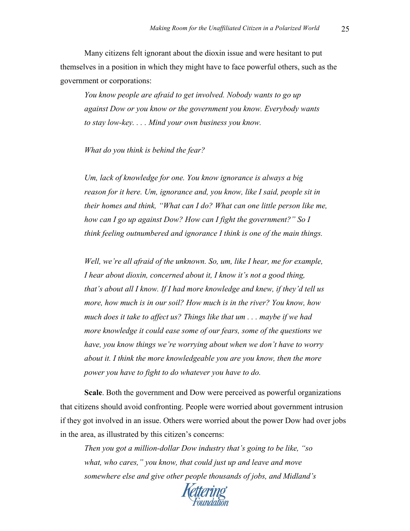Many citizens felt ignorant about the dioxin issue and were hesitant to put themselves in a position in which they might have to face powerful others, such as the government or corporations:

*You know people are afraid to get involved. Nobody wants to go up against Dow or you know or the government you know. Everybody wants to stay low-key. . . . Mind your own business you know.*

#### *What do you think is behind the fear?*

*Um, lack of knowledge for one. You know ignorance is always a big reason for it here. Um, ignorance and, you know, like I said, people sit in their homes and think, "What can I do? What can one little person like me, how can I go up against Dow? How can I fight the government?" So I think feeling outnumbered and ignorance I think is one of the main things.*

*Well, we're all afraid of the unknown. So, um, like I hear, me for example, I hear about dioxin, concerned about it, I know it's not a good thing, that's about all I know. If I had more knowledge and knew, if they'd tell us more, how much is in our soil? How much is in the river? You know, how much does it take to affect us? Things like that um . . . maybe if we had more knowledge it could ease some of our fears, some of the questions we have, you know things we're worrying about when we don't have to worry about it. I think the more knowledgeable you are you know, then the more power you have to fight to do whatever you have to do.*

**Scale**. Both the government and Dow were perceived as powerful organizations that citizens should avoid confronting. People were worried about government intrusion if they got involved in an issue. Others were worried about the power Dow had over jobs in the area, as illustrated by this citizen's concerns:

*Then you got a million-dollar Dow industry that's going to be like, "so what, who cares," you know, that could just up and leave and move somewhere else and give other people thousands of jobs, and Midland's* 

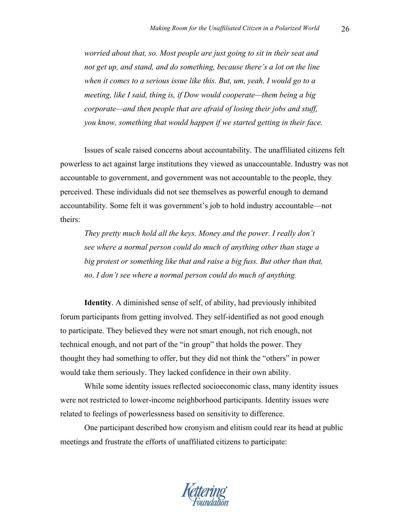*worried about that, so. Most people are just going to sit in their seat and not get up, and stand, and do something, because there's a lot on the line when it comes to a serious issue like this. But, um, yeah, I would go to a meeting, like I said, thing is, if Dow would cooperate—them being a big corporate—and then people that are afraid of losing their jobs and stuff, you know, something that would happen if we started getting in their face.*

Issues of scale raised concerns about accountability. The unaffiliated citizens felt powerless to act against large institutions they viewed as unaccountable. Industry was not accountable to government, and government was not accountable to the people, they perceived. These individuals did not see themselves as powerful enough to demand accountability. Some felt it was government's job to hold industry accountable—not theirs:

*They pretty much hold all the keys. Money and the power. I really don't see where a normal person could do much of anything other than stage a big protest or something like that and raise a big fuss. But other than that, no. I don't see where a normal person could do much of anything.*

**Identity**. A diminished sense of self, of ability, had previously inhibited forum participants from getting involved. They self-identified as not good enough to participate. They believed they were not smart enough, not rich enough, not technical enough, and not part of the "in group" that holds the power. They thought they had something to offer, but they did not think the "others" in power would take them seriously. They lacked confidence in their own ability.

While some identity issues reflected socioeconomic class, many identity issues were not restricted to lower-income neighborhood participants. Identity issues were related to feelings of powerlessness based on sensitivity to difference.

One participant described how cronyism and elitism could rear its head at public meetings and frustrate the efforts of unaffiliated citizens to participate: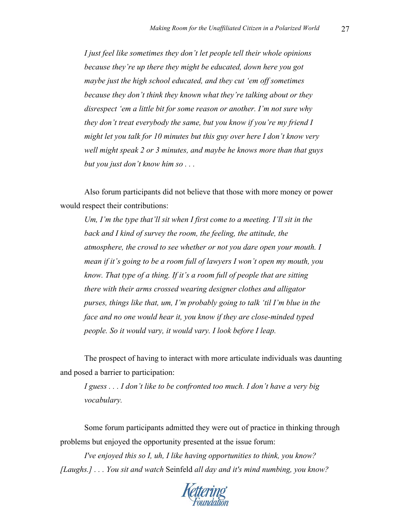*I just feel like sometimes they don't let people tell their whole opinions because they're up there they might be educated, down here you got maybe just the high school educated, and they cut 'em off sometimes because they don't think they known what they're talking about or they disrespect 'em a little bit for some reason or another. I'm not sure why they don't treat everybody the same, but you know if you're my friend I might let you talk for 10 minutes but this guy over here I don't know very well might speak 2 or 3 minutes, and maybe he knows more than that guys but you just don't know him so . . .* 

Also forum participants did not believe that those with more money or power would respect their contributions:

*Um, I'm the type that'll sit when I first come to a meeting. I'll sit in the back and I kind of survey the room, the feeling, the attitude, the atmosphere, the crowd to see whether or not you dare open your mouth. I mean if it's going to be a room full of lawyers I won't open my mouth, you know. That type of a thing. If it's a room full of people that are sitting there with their arms crossed wearing designer clothes and alligator purses, things like that, um, I'm probably going to talk 'til I'm blue in the face and no one would hear it, you know if they are close-minded typed people. So it would vary, it would vary. I look before I leap.*

The prospect of having to interact with more articulate individuals was daunting and posed a barrier to participation:

*I guess . . . I don't like to be confronted too much. I don't have a very big vocabulary.*

Some forum participants admitted they were out of practice in thinking through problems but enjoyed the opportunity presented at the issue forum:

*I've enjoyed this so I, uh, I like having opportunities to think, you know? [Laughs.] . . . You sit and watch* Seinfeld *all day and it's mind numbing, you know?* 

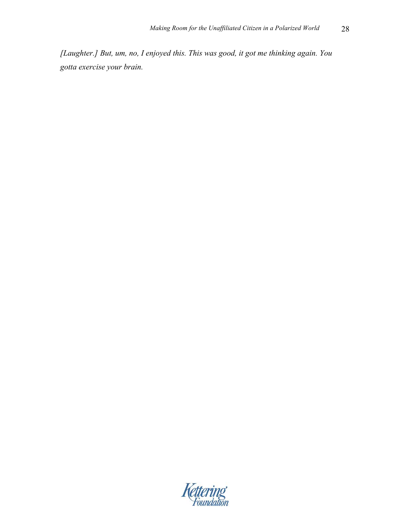*[Laughter.] But, um, no, I enjoyed this. This was good, it got me thinking again. You gotta exercise your brain.*

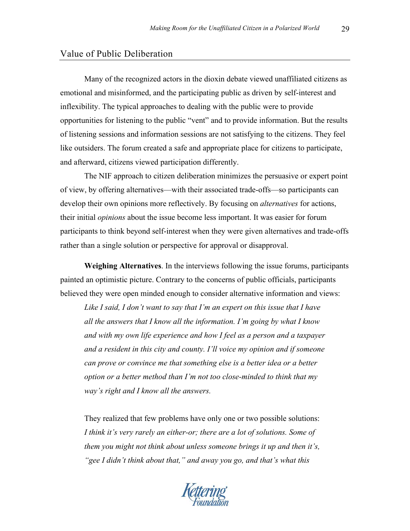#### Value of Public Deliberation

Many of the recognized actors in the dioxin debate viewed unaffiliated citizens as emotional and misinformed, and the participating public as driven by self-interest and inflexibility. The typical approaches to dealing with the public were to provide opportunities for listening to the public "vent" and to provide information. But the results of listening sessions and information sessions are not satisfying to the citizens. They feel like outsiders. The forum created a safe and appropriate place for citizens to participate, and afterward, citizens viewed participation differently.

The NIF approach to citizen deliberation minimizes the persuasive or expert point of view, by offering alternatives—with their associated trade-offs—so participants can develop their own opinions more reflectively. By focusing on *alternatives* for actions, their initial *opinions* about the issue become less important. It was easier for forum participants to think beyond self-interest when they were given alternatives and trade-offs rather than a single solution or perspective for approval or disapproval.

**Weighing Alternatives**. In the interviews following the issue forums, participants painted an optimistic picture. Contrary to the concerns of public officials, participants believed they were open minded enough to consider alternative information and views:

*Like I said, I don't want to say that I'm an expert on this issue that I have all the answers that I know all the information. I'm going by what I know and with my own life experience and how I feel as a person and a taxpayer and a resident in this city and county. I'll voice my opinion and if someone can prove or convince me that something else is a better idea or a better option or a better method than I'm not too close-minded to think that my way's right and I know all the answers.* 

They realized that few problems have only one or two possible solutions: *I think it's very rarely an either-or; there are a lot of solutions. Some of them you might not think about unless someone brings it up and then it's, "gee I didn't think about that," and away you go, and that's what this* 

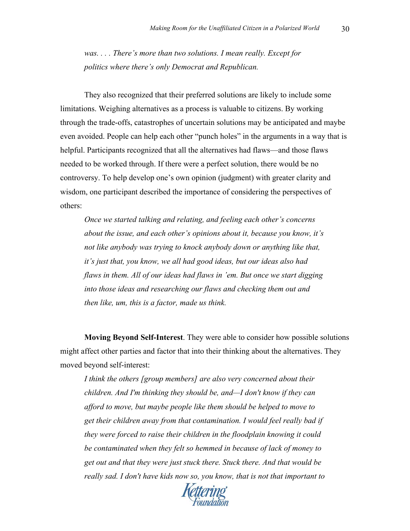*was. . . . There's more than two solutions. I mean really. Except for politics where there's only Democrat and Republican.*

They also recognized that their preferred solutions are likely to include some limitations. Weighing alternatives as a process is valuable to citizens. By working through the trade-offs, catastrophes of uncertain solutions may be anticipated and maybe even avoided. People can help each other "punch holes" in the arguments in a way that is helpful. Participants recognized that all the alternatives had flaws—and those flaws needed to be worked through. If there were a perfect solution, there would be no controversy. To help develop one's own opinion (judgment) with greater clarity and wisdom, one participant described the importance of considering the perspectives of others:

*Once we started talking and relating, and feeling each other's concerns about the issue, and each other's opinions about it, because you know, it's not like anybody was trying to knock anybody down or anything like that, it's just that, you know, we all had good ideas, but our ideas also had flaws in them. All of our ideas had flaws in 'em. But once we start digging into those ideas and researching our flaws and checking them out and then like, um, this is a factor, made us think.*

**Moving Beyond Self-Interest**. They were able to consider how possible solutions might affect other parties and factor that into their thinking about the alternatives. They moved beyond self-interest:

*I think the others [group members] are also very concerned about their children. And I'm thinking they should be, and—I don't know if they can afford to move, but maybe people like them should be helped to move to get their children away from that contamination. I would feel really bad if they were forced to raise their children in the floodplain knowing it could be contaminated when they felt so hemmed in because of lack of money to get out and that they were just stuck there. Stuck there. And that would be really sad. I don't have kids now so, you know, that is not that important to* 

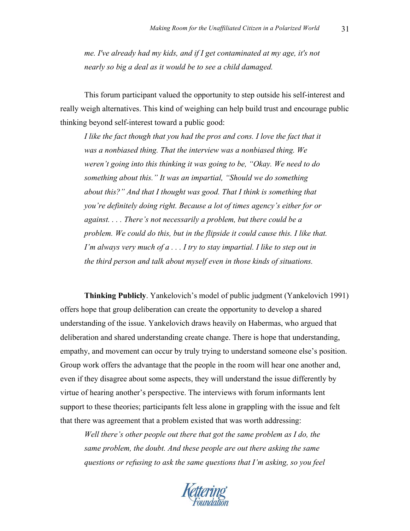*me. I've already had my kids, and if I get contaminated at my age, it's not nearly so big a deal as it would be to see a child damaged.* 

This forum participant valued the opportunity to step outside his self-interest and really weigh alternatives. This kind of weighing can help build trust and encourage public thinking beyond self-interest toward a public good:

*I like the fact though that you had the pros and cons. I love the fact that it was a nonbiased thing. That the interview was a nonbiased thing. We weren't going into this thinking it was going to be, "Okay. We need to do something about this." It was an impartial, "Should we do something about this?" And that I thought was good. That I think is something that you're definitely doing right. Because a lot of times agency's either for or against. . . . There's not necessarily a problem, but there could be a problem. We could do this, but in the flipside it could cause this. I like that. I'm always very much of a . . . I try to stay impartial. I like to step out in the third person and talk about myself even in those kinds of situations.*

**Thinking Publicly**. Yankelovich's model of public judgment (Yankelovich 1991) offers hope that group deliberation can create the opportunity to develop a shared understanding of the issue. Yankelovich draws heavily on Habermas, who argued that deliberation and shared understanding create change. There is hope that understanding, empathy, and movement can occur by truly trying to understand someone else's position. Group work offers the advantage that the people in the room will hear one another and, even if they disagree about some aspects, they will understand the issue differently by virtue of hearing another's perspective. The interviews with forum informants lent support to these theories; participants felt less alone in grappling with the issue and felt that there was agreement that a problem existed that was worth addressing:

*Well there's other people out there that got the same problem as I do, the same problem, the doubt. And these people are out there asking the same questions or refusing to ask the same questions that I'm asking, so you feel* 

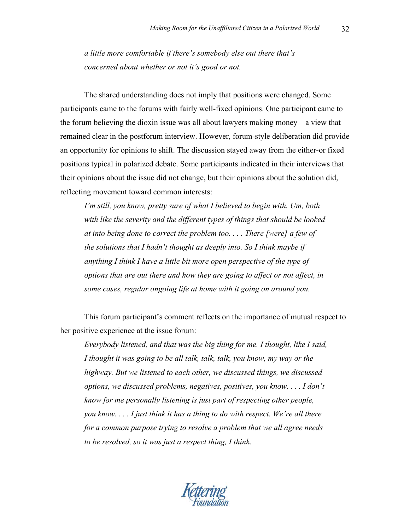*a little more comfortable if there's somebody else out there that's concerned about whether or not it's good or not.*

The shared understanding does not imply that positions were changed. Some participants came to the forums with fairly well-fixed opinions. One participant came to the forum believing the dioxin issue was all about lawyers making money—a view that remained clear in the postforum interview. However, forum-style deliberation did provide an opportunity for opinions to shift. The discussion stayed away from the either-or fixed positions typical in polarized debate. Some participants indicated in their interviews that their opinions about the issue did not change, but their opinions about the solution did, reflecting movement toward common interests:

*I'm still, you know, pretty sure of what I believed to begin with. Um, both with like the severity and the different types of things that should be looked at into being done to correct the problem too. . . . There [were] a few of the solutions that I hadn't thought as deeply into. So I think maybe if anything I think I have a little bit more open perspective of the type of options that are out there and how they are going to affect or not affect, in some cases, regular ongoing life at home with it going on around you.*

This forum participant's comment reflects on the importance of mutual respect to her positive experience at the issue forum:

*Everybody listened, and that was the big thing for me. I thought, like I said, I thought it was going to be all talk, talk, talk, you know, my way or the highway. But we listened to each other, we discussed things, we discussed options, we discussed problems, negatives, positives, you know. . . . I don't know for me personally listening is just part of respecting other people, you know. . . . I just think it has a thing to do with respect. We're all there for a common purpose trying to resolve a problem that we all agree needs to be resolved, so it was just a respect thing, I think.*

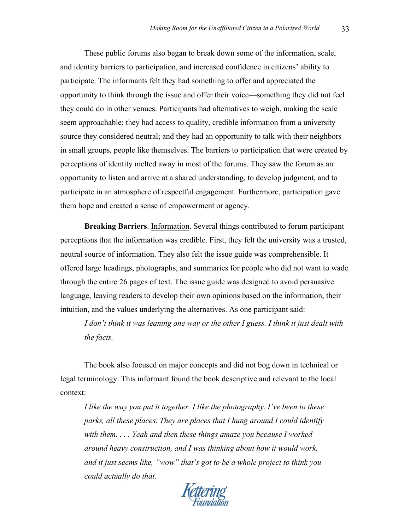These public forums also began to break down some of the information, scale, and identity barriers to participation, and increased confidence in citizens' ability to participate. The informants felt they had something to offer and appreciated the opportunity to think through the issue and offer their voice—something they did not feel they could do in other venues. Participants had alternatives to weigh, making the scale seem approachable; they had access to quality, credible information from a university source they considered neutral; and they had an opportunity to talk with their neighbors in small groups, people like themselves. The barriers to participation that were created by perceptions of identity melted away in most of the forums. They saw the forum as an opportunity to listen and arrive at a shared understanding, to develop judgment, and to participate in an atmosphere of respectful engagement. Furthermore, participation gave them hope and created a sense of empowerment or agency.

**Breaking Barriers**. Information. Several things contributed to forum participant perceptions that the information was credible. First, they felt the university was a trusted, neutral source of information. They also felt the issue guide was comprehensible. It offered large headings, photographs, and summaries for people who did not want to wade through the entire 26 pages of text. The issue guide was designed to avoid persuasive language, leaving readers to develop their own opinions based on the information, their intuition, and the values underlying the alternatives. As one participant said:

*I don't think it was leaning one way or the other I guess. I think it just dealt with the facts.*

The book also focused on major concepts and did not bog down in technical or legal terminology. This informant found the book descriptive and relevant to the local context:

*I like the way you put it together. I like the photography. I've been to these parks, all these places. They are places that I hung around I could identify with them. . . . Yeah and then these things amaze you because I worked around heavy construction, and I was thinking about how it would work, and it just seems like, "wow" that's got to be a whole project to think you could actually do that.*

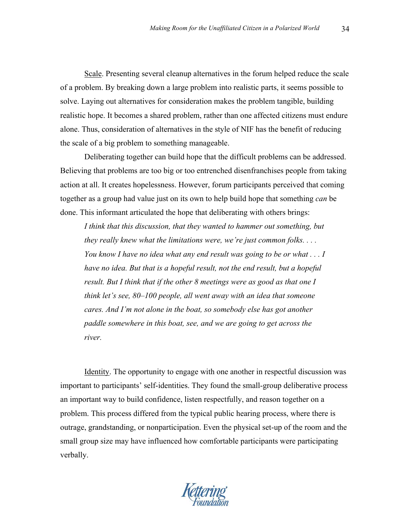Scale. Presenting several cleanup alternatives in the forum helped reduce the scale of a problem. By breaking down a large problem into realistic parts, it seems possible to solve. Laying out alternatives for consideration makes the problem tangible, building realistic hope. It becomes a shared problem, rather than one affected citizens must endure alone. Thus, consideration of alternatives in the style of NIF has the benefit of reducing the scale of a big problem to something manageable.

Deliberating together can build hope that the difficult problems can be addressed. Believing that problems are too big or too entrenched disenfranchises people from taking action at all. It creates hopelessness. However, forum participants perceived that coming together as a group had value just on its own to help build hope that something *can* be done. This informant articulated the hope that deliberating with others brings:

*I think that this discussion, that they wanted to hammer out something, but they really knew what the limitations were, we're just common folks. . . . You know I have no idea what any end result was going to be or what . . . I have no idea. But that is a hopeful result, not the end result, but a hopeful result. But I think that if the other 8 meetings were as good as that one I think let's see, 80–100 people, all went away with an idea that someone cares. And I'm not alone in the boat, so somebody else has got another paddle somewhere in this boat, see, and we are going to get across the river.*

Identity. The opportunity to engage with one another in respectful discussion was important to participants' self-identities. They found the small-group deliberative process an important way to build confidence, listen respectfully, and reason together on a problem. This process differed from the typical public hearing process, where there is outrage, grandstanding, or nonparticipation. Even the physical set-up of the room and the small group size may have influenced how comfortable participants were participating verbally.

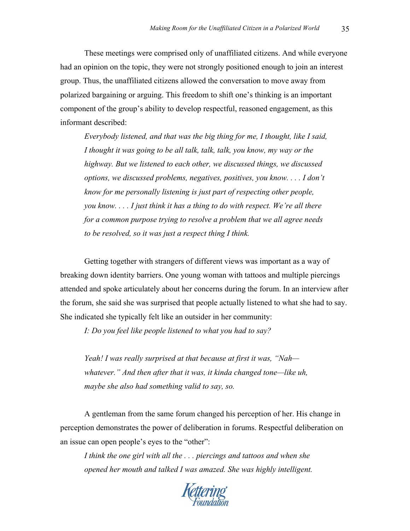These meetings were comprised only of unaffiliated citizens. And while everyone had an opinion on the topic, they were not strongly positioned enough to join an interest group. Thus, the unaffiliated citizens allowed the conversation to move away from polarized bargaining or arguing. This freedom to shift one's thinking is an important component of the group's ability to develop respectful, reasoned engagement, as this informant described:

*Everybody listened, and that was the big thing for me, I thought, like I said, I thought it was going to be all talk, talk, talk, you know, my way or the highway. But we listened to each other, we discussed things, we discussed options, we discussed problems, negatives, positives, you know. . . . I don't know for me personally listening is just part of respecting other people, you know. . . . I just think it has a thing to do with respect. We're all there for a common purpose trying to resolve a problem that we all agree needs to be resolved, so it was just a respect thing I think.*

Getting together with strangers of different views was important as a way of breaking down identity barriers. One young woman with tattoos and multiple piercings attended and spoke articulately about her concerns during the forum. In an interview after the forum, she said she was surprised that people actually listened to what she had to say. She indicated she typically felt like an outsider in her community:

*I: Do you feel like people listened to what you had to say?*

*Yeah! I was really surprised at that because at first it was, "Nah whatever." And then after that it was, it kinda changed tone—like uh, maybe she also had something valid to say, so.*

A gentleman from the same forum changed his perception of her. His change in perception demonstrates the power of deliberation in forums. Respectful deliberation on an issue can open people's eyes to the "other":

*I think the one girl with all the . . . piercings and tattoos and when she opened her mouth and talked I was amazed. She was highly intelligent.* 

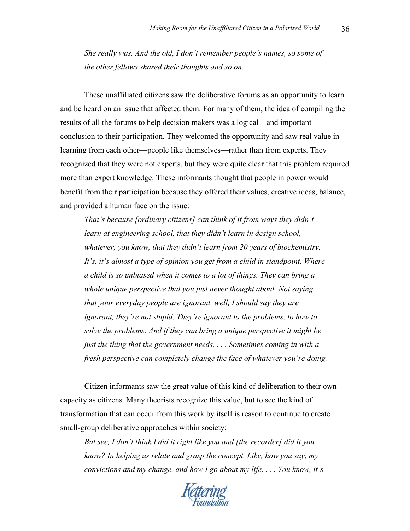*She really was. And the old, I don't remember people's names, so some of the other fellows shared their thoughts and so on.*

These unaffiliated citizens saw the deliberative forums as an opportunity to learn and be heard on an issue that affected them. For many of them, the idea of compiling the results of all the forums to help decision makers was a logical—and important conclusion to their participation. They welcomed the opportunity and saw real value in learning from each other—people like themselves—rather than from experts. They recognized that they were not experts, but they were quite clear that this problem required more than expert knowledge. These informants thought that people in power would benefit from their participation because they offered their values, creative ideas, balance, and provided a human face on the issue:

*That's because [ordinary citizens] can think of it from ways they didn't learn at engineering school, that they didn't learn in design school, whatever, you know, that they didn't learn from 20 years of biochemistry. It's, it's almost a type of opinion you get from a child in standpoint. Where a child is so unbiased when it comes to a lot of things. They can bring a whole unique perspective that you just never thought about. Not saying that your everyday people are ignorant, well, I should say they are ignorant, they're not stupid. They're ignorant to the problems, to how to solve the problems. And if they can bring a unique perspective it might be just the thing that the government needs. . . . Sometimes coming in with a fresh perspective can completely change the face of whatever you're doing.*

Citizen informants saw the great value of this kind of deliberation to their own capacity as citizens. Many theorists recognize this value, but to see the kind of transformation that can occur from this work by itself is reason to continue to create small-group deliberative approaches within society:

*But see, I don't think I did it right like you and [the recorder] did it you know? In helping us relate and grasp the concept. Like, how you say, my convictions and my change, and how I go about my life. . . . You know, it's* 

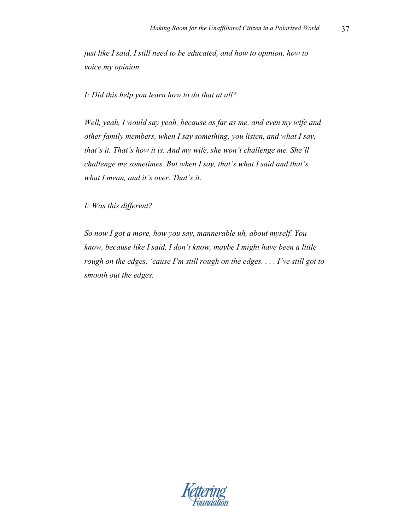*just like I said, I still need to be educated, and how to opinion, how to voice my opinion.*

*I: Did this help you learn how to do that at all?*

*Well, yeah, I would say yeah, because as far as me, and even my wife and other family members, when I say something, you listen, and what I say, that's it. That's how it is. And my wife, she won't challenge me. She'll challenge me sometimes. But when I say, that's what I said and that's what I mean, and it's over. That's it.*

*I: Was this different?*

*So now I got a more, how you say, mannerable uh, about myself. You know, because like I said, I don't know, maybe I might have been a little rough on the edges, 'cause I'm still rough on the edges. . . . I've still got to smooth out the edges.*

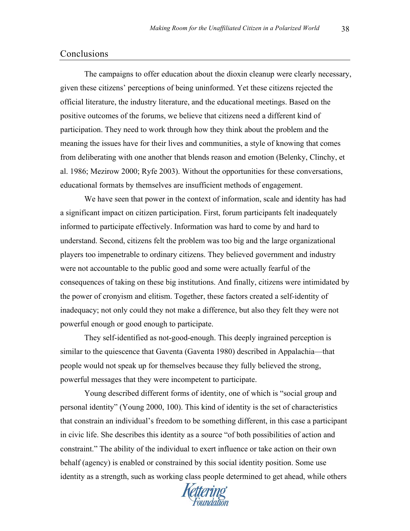## Conclusions

The campaigns to offer education about the dioxin cleanup were clearly necessary, given these citizens' perceptions of being uninformed. Yet these citizens rejected the official literature, the industry literature, and the educational meetings. Based on the positive outcomes of the forums, we believe that citizens need a different kind of participation. They need to work through how they think about the problem and the meaning the issues have for their lives and communities, a style of knowing that comes from deliberating with one another that blends reason and emotion (Belenky, Clinchy, et al. 1986; Mezirow 2000; Ryfe 2003). Without the opportunities for these conversations, educational formats by themselves are insufficient methods of engagement.

We have seen that power in the context of information, scale and identity has had a significant impact on citizen participation. First, forum participants felt inadequately informed to participate effectively. Information was hard to come by and hard to understand. Second, citizens felt the problem was too big and the large organizational players too impenetrable to ordinary citizens. They believed government and industry were not accountable to the public good and some were actually fearful of the consequences of taking on these big institutions. And finally, citizens were intimidated by the power of cronyism and elitism. Together, these factors created a self-identity of inadequacy; not only could they not make a difference, but also they felt they were not powerful enough or good enough to participate.

They self-identified as not-good-enough. This deeply ingrained perception is similar to the quiescence that Gaventa (Gaventa 1980) described in Appalachia—that people would not speak up for themselves because they fully believed the strong, powerful messages that they were incompetent to participate.

Young described different forms of identity, one of which is "social group and personal identity" (Young 2000, 100). This kind of identity is the set of characteristics that constrain an individual's freedom to be something different, in this case a participant in civic life. She describes this identity as a source "of both possibilities of action and constraint." The ability of the individual to exert influence or take action on their own behalf (agency) is enabled or constrained by this social identity position. Some use identity as a strength, such as working class people determined to get ahead, while others

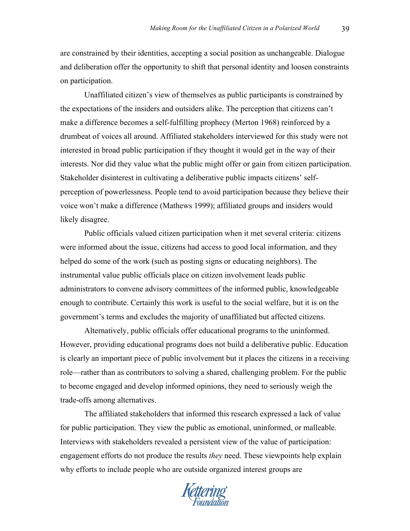are constrained by their identities, accepting a social position as unchangeable. Dialogue and deliberation offer the opportunity to shift that personal identity and loosen constraints on participation.

Unaffiliated citizen's view of themselves as public participants is constrained by the expectations of the insiders and outsiders alike. The perception that citizens can't make a difference becomes a self-fulfilling prophecy (Merton 1968) reinforced by a drumbeat of voices all around. Affiliated stakeholders interviewed for this study were not interested in broad public participation if they thought it would get in the way of their interests. Nor did they value what the public might offer or gain from citizen participation. Stakeholder disinterest in cultivating a deliberative public impacts citizens' selfperception of powerlessness. People tend to avoid participation because they believe their voice won't make a difference (Mathews 1999); affiliated groups and insiders would likely disagree.

Public officials valued citizen participation when it met several criteria: citizens were informed about the issue, citizens had access to good local information, and they helped do some of the work (such as posting signs or educating neighbors). The instrumental value public officials place on citizen involvement leads public administrators to convene advisory committees of the informed public, knowledgeable enough to contribute. Certainly this work is useful to the social welfare, but it is on the government's terms and excludes the majority of unaffiliated but affected citizens.

Alternatively, public officials offer educational programs to the uninformed. However, providing educational programs does not build a deliberative public. Education is clearly an important piece of public involvement but it places the citizens in a receiving role—rather than as contributors to solving a shared, challenging problem. For the public to become engaged and develop informed opinions, they need to seriously weigh the trade-offs among alternatives.

The affiliated stakeholders that informed this research expressed a lack of value for public participation. They view the public as emotional, uninformed, or malleable. Interviews with stakeholders revealed a persistent view of the value of participation: engagement efforts do not produce the results *they* need. These viewpoints help explain why efforts to include people who are outside organized interest groups are

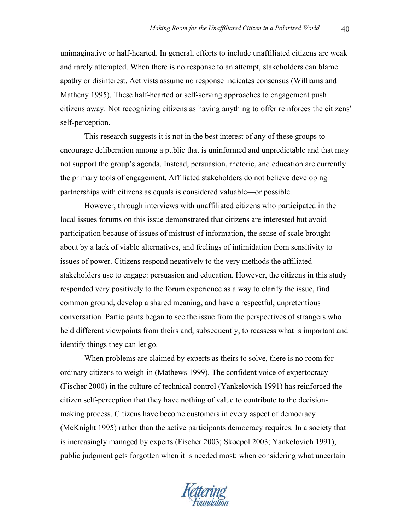unimaginative or half-hearted. In general, efforts to include unaffiliated citizens are weak and rarely attempted. When there is no response to an attempt, stakeholders can blame apathy or disinterest. Activists assume no response indicates consensus (Williams and Matheny 1995). These half-hearted or self-serving approaches to engagement push citizens away. Not recognizing citizens as having anything to offer reinforces the citizens' self-perception.

This research suggests it is not in the best interest of any of these groups to encourage deliberation among a public that is uninformed and unpredictable and that may not support the group's agenda. Instead, persuasion, rhetoric, and education are currently the primary tools of engagement. Affiliated stakeholders do not believe developing partnerships with citizens as equals is considered valuable—or possible.

However, through interviews with unaffiliated citizens who participated in the local issues forums on this issue demonstrated that citizens are interested but avoid participation because of issues of mistrust of information, the sense of scale brought about by a lack of viable alternatives, and feelings of intimidation from sensitivity to issues of power. Citizens respond negatively to the very methods the affiliated stakeholders use to engage: persuasion and education. However, the citizens in this study responded very positively to the forum experience as a way to clarify the issue, find common ground, develop a shared meaning, and have a respectful, unpretentious conversation. Participants began to see the issue from the perspectives of strangers who held different viewpoints from theirs and, subsequently, to reassess what is important and identify things they can let go.

When problems are claimed by experts as theirs to solve, there is no room for ordinary citizens to weigh-in (Mathews 1999). The confident voice of expertocracy (Fischer 2000) in the culture of technical control (Yankelovich 1991) has reinforced the citizen self-perception that they have nothing of value to contribute to the decisionmaking process. Citizens have become customers in every aspect of democracy (McKnight 1995) rather than the active participants democracy requires. In a society that is increasingly managed by experts (Fischer 2003; Skocpol 2003; Yankelovich 1991), public judgment gets forgotten when it is needed most: when considering what uncertain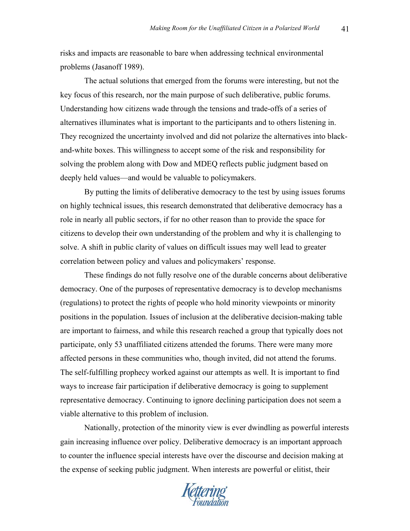risks and impacts are reasonable to bare when addressing technical environmental problems (Jasanoff 1989).

The actual solutions that emerged from the forums were interesting, but not the key focus of this research, nor the main purpose of such deliberative, public forums. Understanding how citizens wade through the tensions and trade-offs of a series of alternatives illuminates what is important to the participants and to others listening in. They recognized the uncertainty involved and did not polarize the alternatives into blackand-white boxes. This willingness to accept some of the risk and responsibility for solving the problem along with Dow and MDEQ reflects public judgment based on deeply held values—and would be valuable to policymakers.

By putting the limits of deliberative democracy to the test by using issues forums on highly technical issues, this research demonstrated that deliberative democracy has a role in nearly all public sectors, if for no other reason than to provide the space for citizens to develop their own understanding of the problem and why it is challenging to solve. A shift in public clarity of values on difficult issues may well lead to greater correlation between policy and values and policymakers' response.

These findings do not fully resolve one of the durable concerns about deliberative democracy. One of the purposes of representative democracy is to develop mechanisms (regulations) to protect the rights of people who hold minority viewpoints or minority positions in the population. Issues of inclusion at the deliberative decision-making table are important to fairness, and while this research reached a group that typically does not participate, only 53 unaffiliated citizens attended the forums. There were many more affected persons in these communities who, though invited, did not attend the forums. The self-fulfilling prophecy worked against our attempts as well. It is important to find ways to increase fair participation if deliberative democracy is going to supplement representative democracy. Continuing to ignore declining participation does not seem a viable alternative to this problem of inclusion.

Nationally, protection of the minority view is ever dwindling as powerful interests gain increasing influence over policy. Deliberative democracy is an important approach to counter the influence special interests have over the discourse and decision making at the expense of seeking public judgment. When interests are powerful or elitist, their

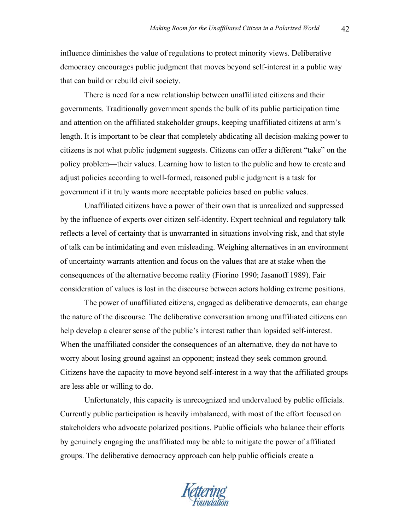influence diminishes the value of regulations to protect minority views. Deliberative democracy encourages public judgment that moves beyond self-interest in a public way that can build or rebuild civil society.

There is need for a new relationship between unaffiliated citizens and their governments. Traditionally government spends the bulk of its public participation time and attention on the affiliated stakeholder groups, keeping unaffiliated citizens at arm's length. It is important to be clear that completely abdicating all decision-making power to citizens is not what public judgment suggests. Citizens can offer a different "take" on the policy problem—their values. Learning how to listen to the public and how to create and adjust policies according to well-formed, reasoned public judgment is a task for government if it truly wants more acceptable policies based on public values.

Unaffiliated citizens have a power of their own that is unrealized and suppressed by the influence of experts over citizen self-identity. Expert technical and regulatory talk reflects a level of certainty that is unwarranted in situations involving risk, and that style of talk can be intimidating and even misleading. Weighing alternatives in an environment of uncertainty warrants attention and focus on the values that are at stake when the consequences of the alternative become reality (Fiorino 1990; Jasanoff 1989). Fair consideration of values is lost in the discourse between actors holding extreme positions.

The power of unaffiliated citizens, engaged as deliberative democrats, can change the nature of the discourse. The deliberative conversation among unaffiliated citizens can help develop a clearer sense of the public's interest rather than lopsided self-interest. When the unaffiliated consider the consequences of an alternative, they do not have to worry about losing ground against an opponent; instead they seek common ground. Citizens have the capacity to move beyond self-interest in a way that the affiliated groups are less able or willing to do.

Unfortunately, this capacity is unrecognized and undervalued by public officials. Currently public participation is heavily imbalanced, with most of the effort focused on stakeholders who advocate polarized positions. Public officials who balance their efforts by genuinely engaging the unaffiliated may be able to mitigate the power of affiliated groups. The deliberative democracy approach can help public officials create a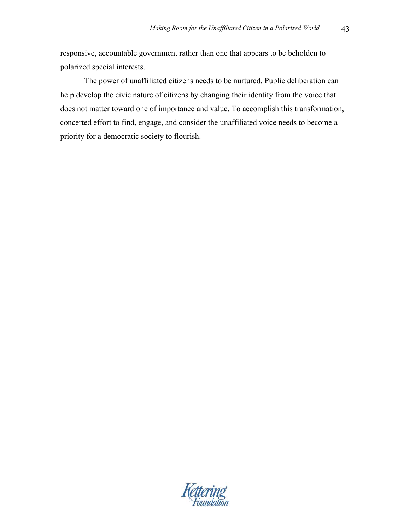responsive, accountable government rather than one that appears to be beholden to polarized special interests.

The power of unaffiliated citizens needs to be nurtured. Public deliberation can help develop the civic nature of citizens by changing their identity from the voice that does not matter toward one of importance and value. To accomplish this transformation, concerted effort to find, engage, and consider the unaffiliated voice needs to become a priority for a democratic society to flourish.

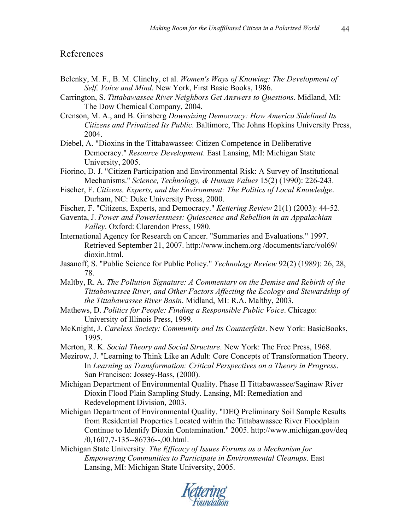- Belenky, M. F., B. M. Clinchy, et al. *Women's Ways of Knowing: The Development of Self, Voice and Mind*. New York, First Basic Books, 1986.
- Carrington, S. *Tittabawassee River Neighbors Get Answers to Questions*. Midland, MI: The Dow Chemical Company, 2004.

Crenson, M. A., and B. Ginsberg *Downsizing Democracy: How America Sidelined Its Citizens and Privatized Its Public*. Baltimore, The Johns Hopkins University Press, 2004.

Diebel, A. "Dioxins in the Tittabawassee: Citizen Competence in Deliberative Democracy." *Resource Development*. East Lansing, MI: Michigan State University, 2005.

Fiorino, D. J. "Citizen Participation and Environmental Risk: A Survey of Institutional Mechanisms." *Science, Technology, & Human Values* 15(2) (1990): 226-243.

- Fischer, F. *Citizens, Experts, and the Environment: The Politics of Local Knowledge*. Durham, NC: Duke University Press, 2000.
- Fischer, F. "Citizens, Experts, and Democracy." *Kettering Review* 21(1) (2003): 44-52.

Gaventa, J. *Power and Powerlessness: Quiescence and Rebellion in an Appalachian Valley*. Oxford: Clarendon Press, 1980.

International Agency for Research on Cancer. "Summaries and Evaluations." 1997. Retrieved September 21, 2007. http://www.inchem.org /documents/iarc/vol69/ dioxin.html.

Jasanoff, S. "Public Science for Public Policy." *Technology Review* 92(2) (1989): 26, 28, 78.

Maltby, R. A. *The Pollution Signature: A Commentary on the Demise and Rebirth of the Tittabawassee River, and Other Factors Affecting the Ecology and Stewardship of the Tittabawassee River Basin*. Midland, MI: R.A. Maltby, 2003.

Mathews, D. *Politics for People: Finding a Responsible Public Voice*. Chicago: University of Illinois Press, 1999.

McKnight, J. *Careless Society: Community and Its Counterfeits*. New York: BasicBooks, 1995.

Merton, R. K. *Social Theory and Social Structure*. New York: The Free Press, 1968.

Mezirow, J. "Learning to Think Like an Adult: Core Concepts of Transformation Theory. In *Learning as Transformation: Critical Perspectives on a Theory in Progress*. San Francisco: Jossey-Bass, (2000).

Michigan Department of Environmental Quality. Phase II Tittabawassee/Saginaw River Dioxin Flood Plain Sampling Study. Lansing, MI: Remediation and Redevelopment Division, 2003.

Michigan Department of Environmental Quality. "DEQ Preliminary Soil Sample Results from Residential Properties Located within the Tittabawassee River Floodplain Continue to Identify Dioxin Contamination." 2005. http://www.michigan.gov/deq /0,1607,7-135--86736--,00.html.

Michigan State University. *The Efficacy of Issues Forums as a Mechanism for Empowering Communities to Participate in Environmental Cleanups*. East Lansing, MI: Michigan State University, 2005.

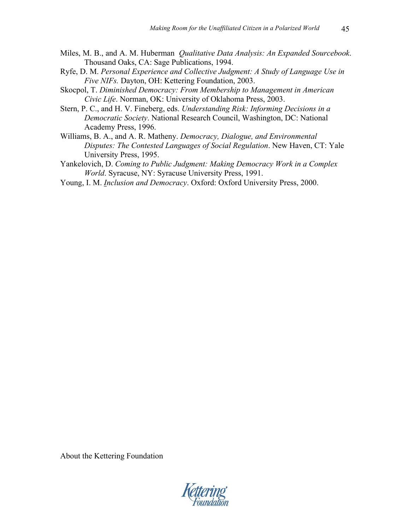- Miles, M. B., and A. M. Huberman *Qualitative Data Analysis: An Expanded Sourcebook*. Thousand Oaks, CA: Sage Publications, 1994.
- Ryfe, D. M. *Personal Experience and Collective Judgment: A Study of Language Use in Five NIFs.* Dayton, OH: Kettering Foundation, 2003.
- Skocpol, T. *Diminished Democracy: From Membership to Management in American Civic Life*. Norman, OK: University of Oklahoma Press, 2003.
- Stern, P. C., and H. V. Fineberg, eds. *Understanding Risk: Informing Decisions in a Democratic Society*. National Research Council, Washington, DC: National Academy Press, 1996.
- Williams, B. A., and A. R. Matheny. *Democracy, Dialogue, and Environmental Disputes: The Contested Languages of Social Regulation*. New Haven, CT: Yale University Press, 1995.
- Yankelovich, D. *Coming to Public Judgment: Making Democracy Work in a Complex World*. Syracuse, NY: Syracuse University Press, 1991.
- Young, I. M. *Inclusion and Democracy*. Oxford: Oxford University Press, 2000.

About the Kettering Foundation